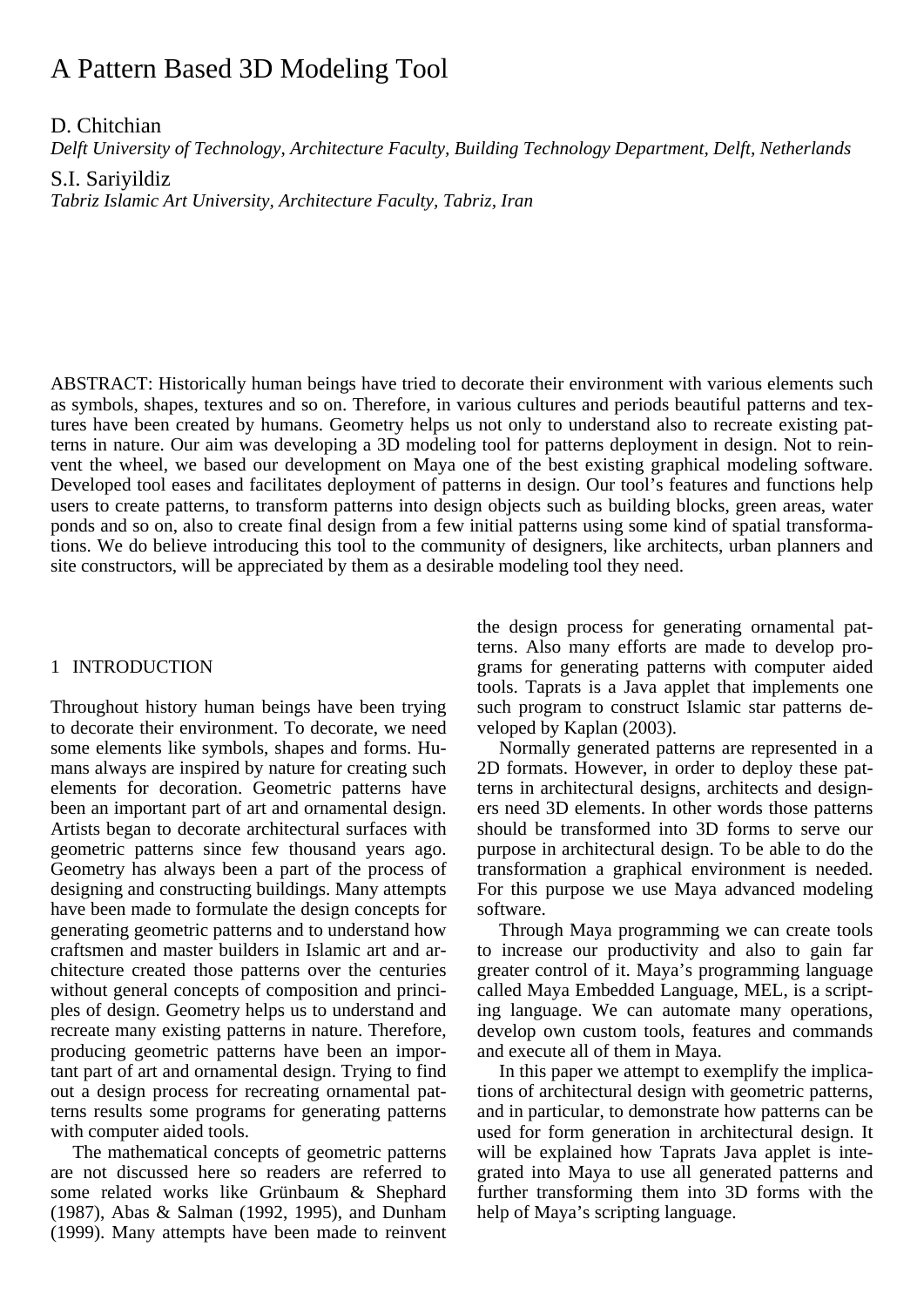# A Pattern Based 3D Modeling Tool

D. Chitchian

*Delft University of Technology, Architecture Faculty, Building Technology Department, Delft, Netherlands* 

S.I. Sariyildiz

*Tabriz Islamic Art University, Architecture Faculty, Tabriz, Iran* 

ABSTRACT: Historically human beings have tried to decorate their environment with various elements such as symbols, shapes, textures and so on. Therefore, in various cultures and periods beautiful patterns and textures have been created by humans. Geometry helps us not only to understand also to recreate existing patterns in nature. Our aim was developing a 3D modeling tool for patterns deployment in design. Not to reinvent the wheel, we based our development on Maya one of the best existing graphical modeling software. Developed tool eases and facilitates deployment of patterns in design. Our tool's features and functions help users to create patterns, to transform patterns into design objects such as building blocks, green areas, water ponds and so on, also to create final design from a few initial patterns using some kind of spatial transformations. We do believe introducing this tool to the community of designers, like architects, urban planners and site constructors, will be appreciated by them as a desirable modeling tool they need.

### 1 INTRODUCTION

Throughout history human beings have been trying to decorate their environment. To decorate, we need some elements like symbols, shapes and forms. Humans always are inspired by nature for creating such elements for decoration. Geometric patterns have been an important part of art and ornamental design. Artists began to decorate architectural surfaces with geometric patterns since few thousand years ago. Geometry has always been a part of the process of designing and constructing buildings. Many attempts have been made to formulate the design concepts for generating geometric patterns and to understand how craftsmen and master builders in Islamic art and architecture created those patterns over the centuries without general concepts of composition and principles of design. Geometry helps us to understand and recreate many existing patterns in nature. Therefore, producing geometric patterns have been an important part of art and ornamental design. Trying to find out a design process for recreating ornamental patterns results some programs for generating patterns with computer aided tools.

The mathematical concepts of geometric patterns are not discussed here so readers are referred to some related works like Grünbaum & Shephard (1987), Abas & Salman (1992, 1995), and Dunham (1999). Many attempts have been made to reinvent the design process for generating ornamental patterns. Also many efforts are made to develop programs for generating patterns with computer aided tools. Taprats is a Java applet that implements one such program to construct Islamic star patterns developed by Kaplan (2003).

Normally generated patterns are represented in a 2D formats. However, in order to deploy these patterns in architectural designs, architects and designers need 3D elements. In other words those patterns should be transformed into 3D forms to serve our purpose in architectural design. To be able to do the transformation a graphical environment is needed. For this purpose we use Maya advanced modeling software.

Through Maya programming we can create tools to increase our productivity and also to gain far greater control of it. Maya's programming language called Maya Embedded Language, MEL, is a scripting language. We can automate many operations, develop own custom tools, features and commands and execute all of them in Maya.

In this paper we attempt to exemplify the implications of architectural design with geometric patterns, and in particular, to demonstrate how patterns can be used for form generation in architectural design. It will be explained how Taprats Java applet is integrated into Maya to use all generated patterns and further transforming them into 3D forms with the help of Maya's scripting language.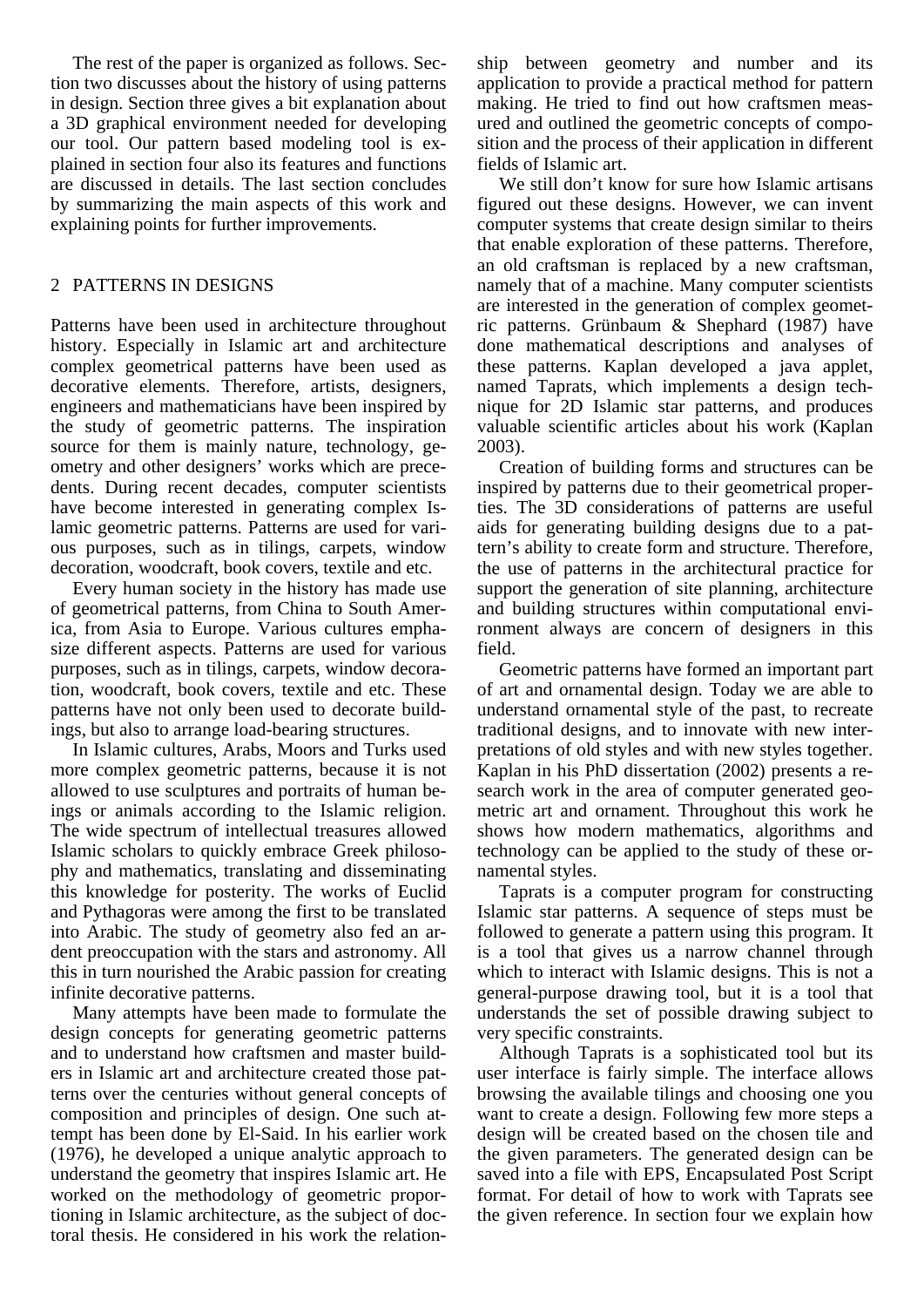The rest of the paper is organized as follows. Section two discusses about the history of using patterns in design. Section three gives a bit explanation about a 3D graphical environment needed for developing our tool. Our pattern based modeling tool is explained in section four also its features and functions are discussed in details. The last section concludes by summarizing the main aspects of this work and explaining points for further improvements.

## 2 PATTERNS IN DESIGNS

Patterns have been used in architecture throughout history. Especially in Islamic art and architecture complex geometrical patterns have been used as decorative elements. Therefore, artists, designers, engineers and mathematicians have been inspired by the study of geometric patterns. The inspiration source for them is mainly nature, technology, geometry and other designers' works which are precedents. During recent decades, computer scientists have become interested in generating complex Islamic geometric patterns. Patterns are used for various purposes, such as in tilings, carpets, window decoration, woodcraft, book covers, textile and etc.

Every human society in the history has made use of geometrical patterns, from China to South America, from Asia to Europe. Various cultures emphasize different aspects. Patterns are used for various purposes, such as in tilings, carpets, window decoration, woodcraft, book covers, textile and etc. These patterns have not only been used to decorate buildings, but also to arrange load-bearing structures.

In Islamic cultures, Arabs, Moors and Turks used more complex geometric patterns, because it is not allowed to use sculptures and portraits of human beings or animals according to the Islamic religion. The wide spectrum of intellectual treasures allowed Islamic scholars to quickly embrace Greek philosophy and mathematics, translating and disseminating this knowledge for posterity. The works of Euclid and Pythagoras were among the first to be translated into Arabic. The study of geometry also fed an ardent preoccupation with the stars and astronomy. All this in turn nourished the Arabic passion for creating infinite decorative patterns.

Many attempts have been made to formulate the design concepts for generating geometric patterns and to understand how craftsmen and master builders in Islamic art and architecture created those patterns over the centuries without general concepts of composition and principles of design. One such attempt has been done by El-Said. In his earlier work (1976), he developed a unique analytic approach to understand the geometry that inspires Islamic art. He worked on the methodology of geometric proportioning in Islamic architecture, as the subject of doctoral thesis. He considered in his work the relationship between geometry and number and its application to provide a practical method for pattern making. He tried to find out how craftsmen measured and outlined the geometric concepts of composition and the process of their application in different fields of Islamic art.

We still don't know for sure how Islamic artisans figured out these designs. However, we can invent computer systems that create design similar to theirs that enable exploration of these patterns. Therefore, an old craftsman is replaced by a new craftsman, namely that of a machine. Many computer scientists are interested in the generation of complex geometric patterns. Grünbaum & Shephard (1987) have done mathematical descriptions and analyses of these patterns. Kaplan developed a java applet, named Taprats, which implements a design technique for 2D Islamic star patterns, and produces valuable scientific articles about his work (Kaplan 2003).

Creation of building forms and structures can be inspired by patterns due to their geometrical properties. The 3D considerations of patterns are useful aids for generating building designs due to a pattern's ability to create form and structure. Therefore, the use of patterns in the architectural practice for support the generation of site planning, architecture and building structures within computational environment always are concern of designers in this field.

Geometric patterns have formed an important part of art and ornamental design. Today we are able to understand ornamental style of the past, to recreate traditional designs, and to innovate with new interpretations of old styles and with new styles together. Kaplan in his PhD dissertation (2002) presents a research work in the area of computer generated geometric art and ornament. Throughout this work he shows how modern mathematics, algorithms and technology can be applied to the study of these ornamental styles.

Taprats is a computer program for constructing Islamic star patterns. A sequence of steps must be followed to generate a pattern using this program. It is a tool that gives us a narrow channel through which to interact with Islamic designs. This is not a general-purpose drawing tool, but it is a tool that understands the set of possible drawing subject to very specific constraints.

Although Taprats is a sophisticated tool but its user interface is fairly simple. The interface allows browsing the available tilings and choosing one you want to create a design. Following few more steps a design will be created based on the chosen tile and the given parameters. The generated design can be saved into a file with EPS, Encapsulated Post Script format. For detail of how to work with Taprats see the given reference. In section four we explain how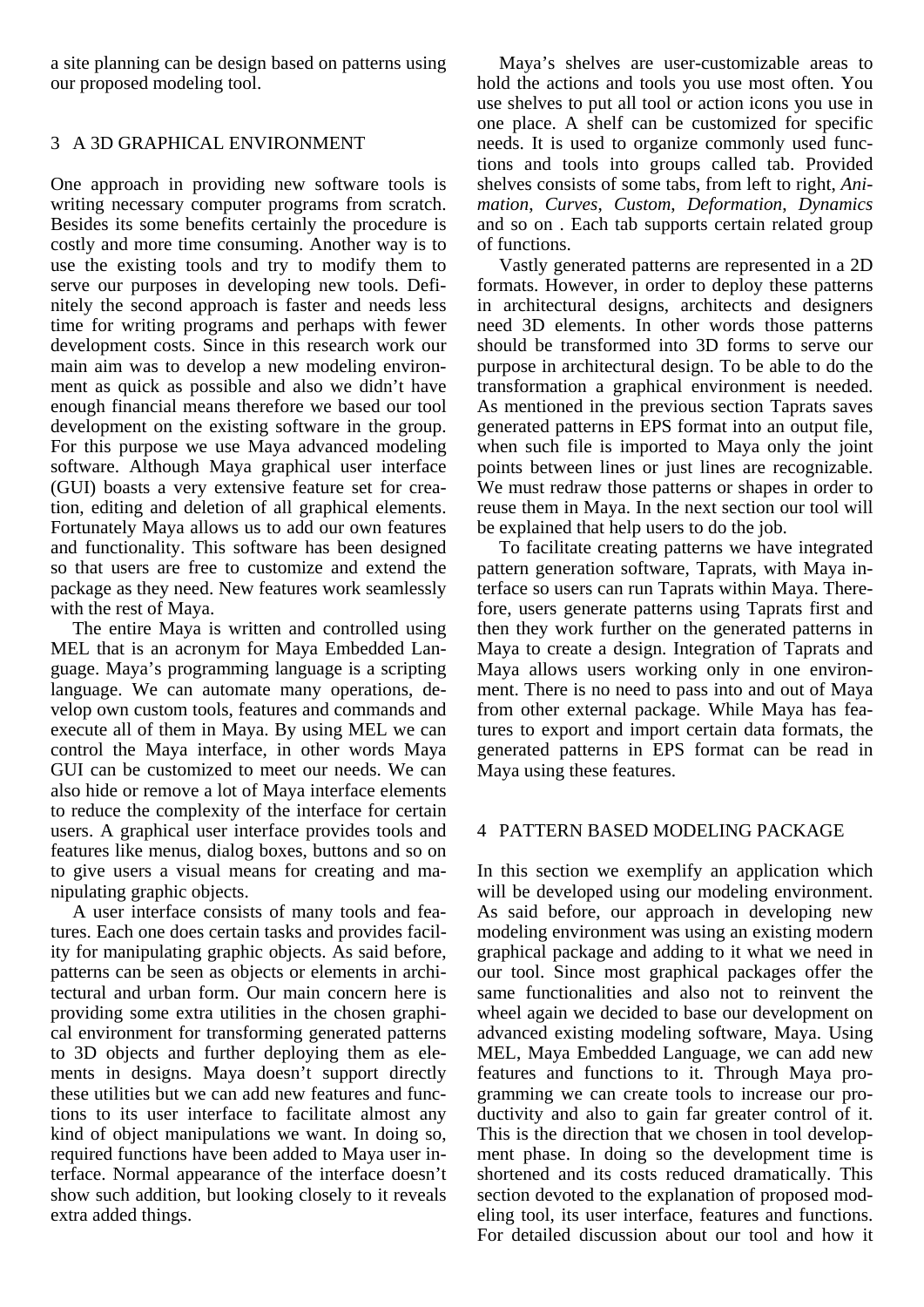a site planning can be design based on patterns using our proposed modeling tool.

## 3 A 3D GRAPHICAL ENVIRONMENT

One approach in providing new software tools is writing necessary computer programs from scratch. Besides its some benefits certainly the procedure is costly and more time consuming. Another way is to use the existing tools and try to modify them to serve our purposes in developing new tools. Definitely the second approach is faster and needs less time for writing programs and perhaps with fewer development costs. Since in this research work our main aim was to develop a new modeling environment as quick as possible and also we didn't have enough financial means therefore we based our tool development on the existing software in the group. For this purpose we use Maya advanced modeling software. Although Maya graphical user interface (GUI) boasts a very extensive feature set for creation, editing and deletion of all graphical elements. Fortunately Maya allows us to add our own features and functionality. This software has been designed so that users are free to customize and extend the package as they need. New features work seamlessly with the rest of Maya.

The entire Maya is written and controlled using MEL that is an acronym for Maya Embedded Language. Maya's programming language is a scripting language. We can automate many operations, develop own custom tools, features and commands and execute all of them in Maya. By using MEL we can control the Maya interface, in other words Maya GUI can be customized to meet our needs. We can also hide or remove a lot of Maya interface elements to reduce the complexity of the interface for certain users. A graphical user interface provides tools and features like menus, dialog boxes, buttons and so on to give users a visual means for creating and manipulating graphic objects.

A user interface consists of many tools and features. Each one does certain tasks and provides facility for manipulating graphic objects. As said before, patterns can be seen as objects or elements in architectural and urban form. Our main concern here is providing some extra utilities in the chosen graphical environment for transforming generated patterns to 3D objects and further deploying them as elements in designs. Maya doesn't support directly these utilities but we can add new features and functions to its user interface to facilitate almost any kind of object manipulations we want. In doing so, required functions have been added to Maya user interface. Normal appearance of the interface doesn't show such addition, but looking closely to it reveals extra added things.

Maya's shelves are user-customizable areas to hold the actions and tools you use most often. You use shelves to put all tool or action icons you use in one place. A shelf can be customized for specific needs. It is used to organize commonly used functions and tools into groups called tab. Provided shelves consists of some tabs, from left to right, *Animation*, *Curves*, *Custom*, *Deformation*, *Dynamics* and so on . Each tab supports certain related group of functions.

Vastly generated patterns are represented in a 2D formats. However, in order to deploy these patterns in architectural designs, architects and designers need 3D elements. In other words those patterns should be transformed into 3D forms to serve our purpose in architectural design. To be able to do the transformation a graphical environment is needed. As mentioned in the previous section Taprats saves generated patterns in EPS format into an output file, when such file is imported to Maya only the joint points between lines or just lines are recognizable. We must redraw those patterns or shapes in order to reuse them in Maya. In the next section our tool will be explained that help users to do the job.

To facilitate creating patterns we have integrated pattern generation software, Taprats, with Maya interface so users can run Taprats within Maya. Therefore, users generate patterns using Taprats first and then they work further on the generated patterns in Maya to create a design. Integration of Taprats and Maya allows users working only in one environment. There is no need to pass into and out of Maya from other external package. While Maya has features to export and import certain data formats, the generated patterns in EPS format can be read in Maya using these features.

### 4 PATTERN BASED MODELING PACKAGE

In this section we exemplify an application which will be developed using our modeling environment. As said before, our approach in developing new modeling environment was using an existing modern graphical package and adding to it what we need in our tool. Since most graphical packages offer the same functionalities and also not to reinvent the wheel again we decided to base our development on advanced existing modeling software, Maya. Using MEL, Maya Embedded Language, we can add new features and functions to it. Through Maya programming we can create tools to increase our productivity and also to gain far greater control of it. This is the direction that we chosen in tool development phase. In doing so the development time is shortened and its costs reduced dramatically. This section devoted to the explanation of proposed modeling tool, its user interface, features and functions. For detailed discussion about our tool and how it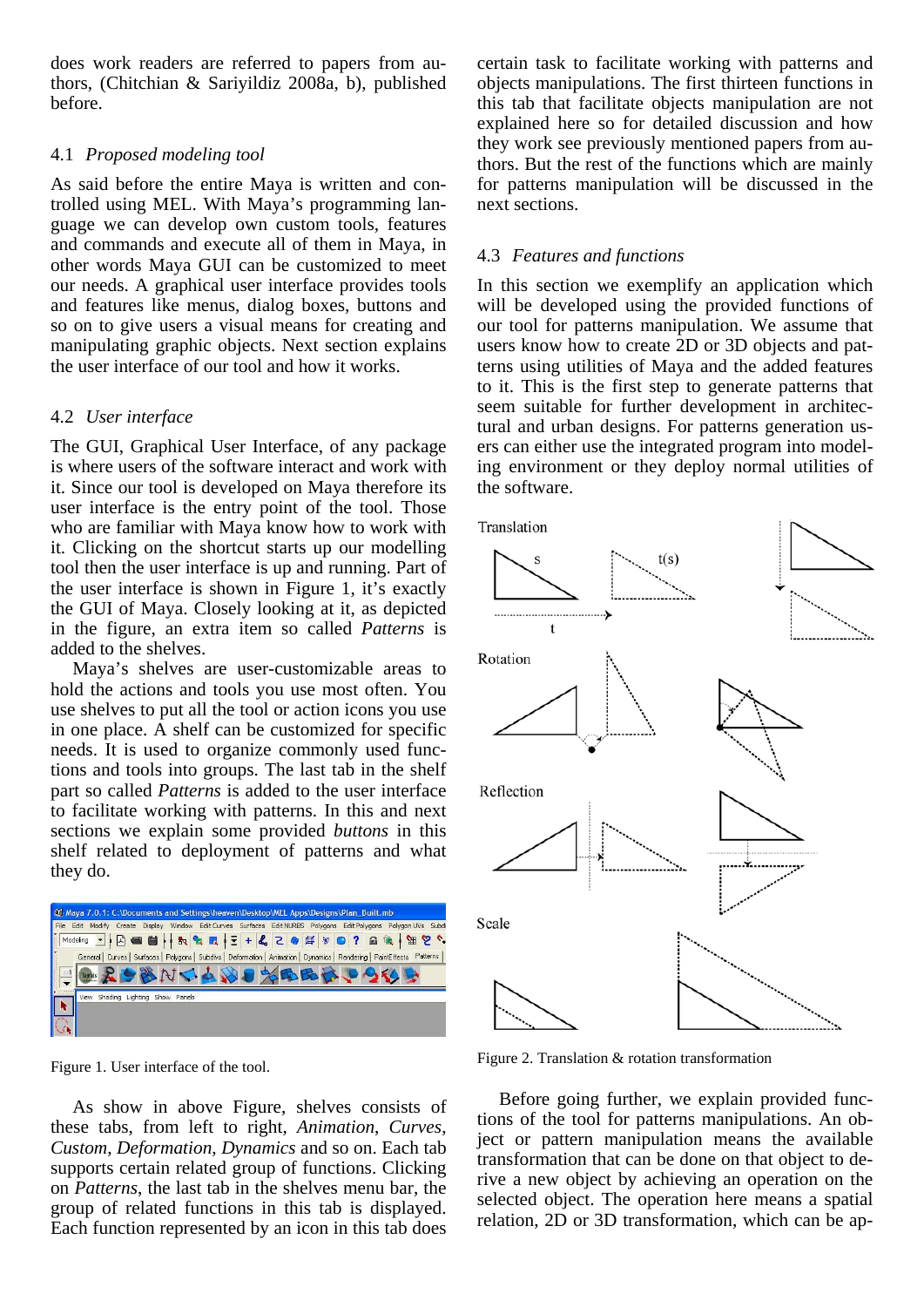does work readers are referred to papers from authors, (Chitchian & Sariyildiz 2008a, b), published before.

### 4.1 *Proposed modeling tool*

As said before the entire Maya is written and controlled using MEL. With Maya's programming language we can develop own custom tools, features and commands and execute all of them in Maya, in other words Maya GUI can be customized to meet our needs. A graphical user interface provides tools and features like menus, dialog boxes, buttons and so on to give users a visual means for creating and manipulating graphic objects. Next section explains the user interface of our tool and how it works.

### 4.2 *User interface*

The GUI, Graphical User Interface, of any package is where users of the software interact and work with it. Since our tool is developed on Maya therefore its user interface is the entry point of the tool. Those who are familiar with Maya know how to work with it. Clicking on the shortcut starts up our modelling tool then the user interface is up and running. Part of the user interface is shown in Figure 1, it's exactly the GUI of Maya. Closely looking at it, as depicted in the figure, an extra item so called *Patterns* is added to the shelves.

Maya's shelves are user-customizable areas to hold the actions and tools you use most often. You use shelves to put all the tool or action icons you use in one place. A shelf can be customized for specific needs. It is used to organize commonly used functions and tools into groups. The last tab in the shelf part so called *Patterns* is added to the user interface to facilitate working with patterns. In this and next sections we explain some provided *buttons* in this shelf related to deployment of patterns and what they do.

|   | M Maya 7.0.1: C:\Documents and Settings\heaven\Desktop\MEL Apps\Designs\Plan_Built.mb                                       |
|---|-----------------------------------------------------------------------------------------------------------------------------|
|   | File Edit Modify Create Display Window Edit Curves Surfaces Edit NURBS Polygons Edit Polygons Polygon UVs Subdi             |
| I |                                                                                                                             |
|   | General   Curves   Surfaces   Polygons   Subdivs   Deformation   Animation   Dynamics   Rendering   PaintEffects   Patterns |
|   | <b>● 208NCAND%BBB000</b>                                                                                                    |
|   |                                                                                                                             |
|   | View Shading Lighting Show Panels                                                                                           |
|   |                                                                                                                             |
|   |                                                                                                                             |

Figure 1. User interface of the tool.

As show in above Figure, shelves consists of these tabs, from left to right, *Animation*, *Curves*, *Custom*, *Deformation*, *Dynamics* and so on. Each tab supports certain related group of functions. Clicking on *Patterns*, the last tab in the shelves menu bar, the group of related functions in this tab is displayed. Each function represented by an icon in this tab does

certain task to facilitate working with patterns and objects manipulations. The first thirteen functions in this tab that facilitate objects manipulation are not explained here so for detailed discussion and how they work see previously mentioned papers from authors. But the rest of the functions which are mainly for patterns manipulation will be discussed in the next sections.

# 4.3 *Features and functions*

In this section we exemplify an application which will be developed using the provided functions of our tool for patterns manipulation. We assume that users know how to create 2D or 3D objects and patterns using utilities of Maya and the added features to it. This is the first step to generate patterns that seem suitable for further development in architectural and urban designs. For patterns generation users can either use the integrated program into modeling environment or they deploy normal utilities of the software.



Figure 2. Translation & rotation transformation

Before going further, we explain provided functions of the tool for patterns manipulations. An object or pattern manipulation means the available transformation that can be done on that object to derive a new object by achieving an operation on the selected object. The operation here means a spatial relation, 2D or 3D transformation, which can be ap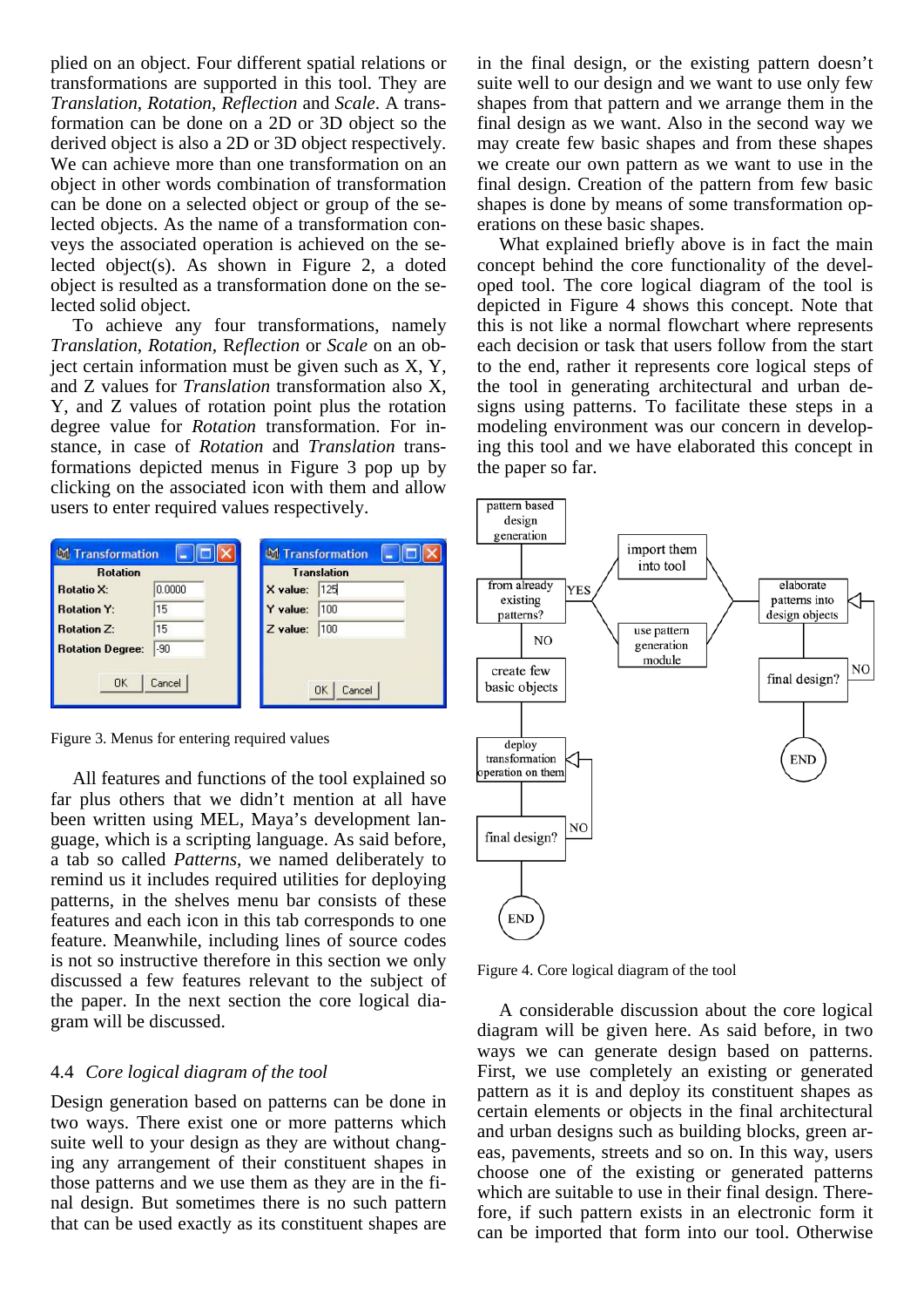plied on an object. Four different spatial relations or transformations are supported in this tool. They are *Translation*, *Rotation*, *Reflection* and *Scale*. A transformation can be done on a 2D or 3D object so the derived object is also a 2D or 3D object respectively. We can achieve more than one transformation on an object in other words combination of transformation can be done on a selected object or group of the selected objects. As the name of a transformation conveys the associated operation is achieved on the selected object(s). As shown in Figure 2, a doted object is resulted as a transformation done on the selected solid object.

To achieve any four transformations, namely *Translation*, *Rotation*, R*eflection* or *Scale* on an object certain information must be given such as  $X, Y$ , and Z values for *Translation* transformation also X, Y, and Z values of rotation point plus the rotation degree value for *Rotation* transformation. For instance, in case of *Rotation* and *Translation* transformations depicted menus in Figure 3 pop up by clicking on the associated icon with them and allow users to enter required values respectively.

| <b>Rotation</b>         |        |          | <b>Translation</b> |
|-------------------------|--------|----------|--------------------|
| <b>Rotatio X:</b>       | 0.0000 | X value: | 125                |
| <b>Rotation Y:</b>      | 15     | Y value: | 100                |
| <b>Rotation Z:</b>      | 15     | Z value: | 100                |
| <b>Rotation Degree:</b> | $-90$  |          |                    |

Figure 3. Menus for entering required values

All features and functions of the tool explained so far plus others that we didn't mention at all have been written using MEL, Maya's development language, which is a scripting language. As said before, a tab so called *Patterns*, we named deliberately to remind us it includes required utilities for deploying patterns, in the shelves menu bar consists of these features and each icon in this tab corresponds to one feature. Meanwhile, including lines of source codes is not so instructive therefore in this section we only discussed a few features relevant to the subject of the paper. In the next section the core logical diagram will be discussed.

#### 4.4 *Core logical diagram of the tool*

Design generation based on patterns can be done in two ways. There exist one or more patterns which suite well to your design as they are without changing any arrangement of their constituent shapes in those patterns and we use them as they are in the final design. But sometimes there is no such pattern that can be used exactly as its constituent shapes are

in the final design, or the existing pattern doesn't suite well to our design and we want to use only few shapes from that pattern and we arrange them in the final design as we want. Also in the second way we may create few basic shapes and from these shapes we create our own pattern as we want to use in the final design. Creation of the pattern from few basic shapes is done by means of some transformation operations on these basic shapes.

What explained briefly above is in fact the main concept behind the core functionality of the developed tool. The core logical diagram of the tool is depicted in Figure 4 shows this concept. Note that this is not like a normal flowchart where represents each decision or task that users follow from the start to the end, rather it represents core logical steps of the tool in generating architectural and urban designs using patterns. To facilitate these steps in a modeling environment was our concern in developing this tool and we have elaborated this concept in the paper so far.



Figure 4. Core logical diagram of the tool

A considerable discussion about the core logical diagram will be given here. As said before, in two ways we can generate design based on patterns. First, we use completely an existing or generated pattern as it is and deploy its constituent shapes as certain elements or objects in the final architectural and urban designs such as building blocks, green areas, pavements, streets and so on. In this way, users choose one of the existing or generated patterns which are suitable to use in their final design. Therefore, if such pattern exists in an electronic form it can be imported that form into our tool. Otherwise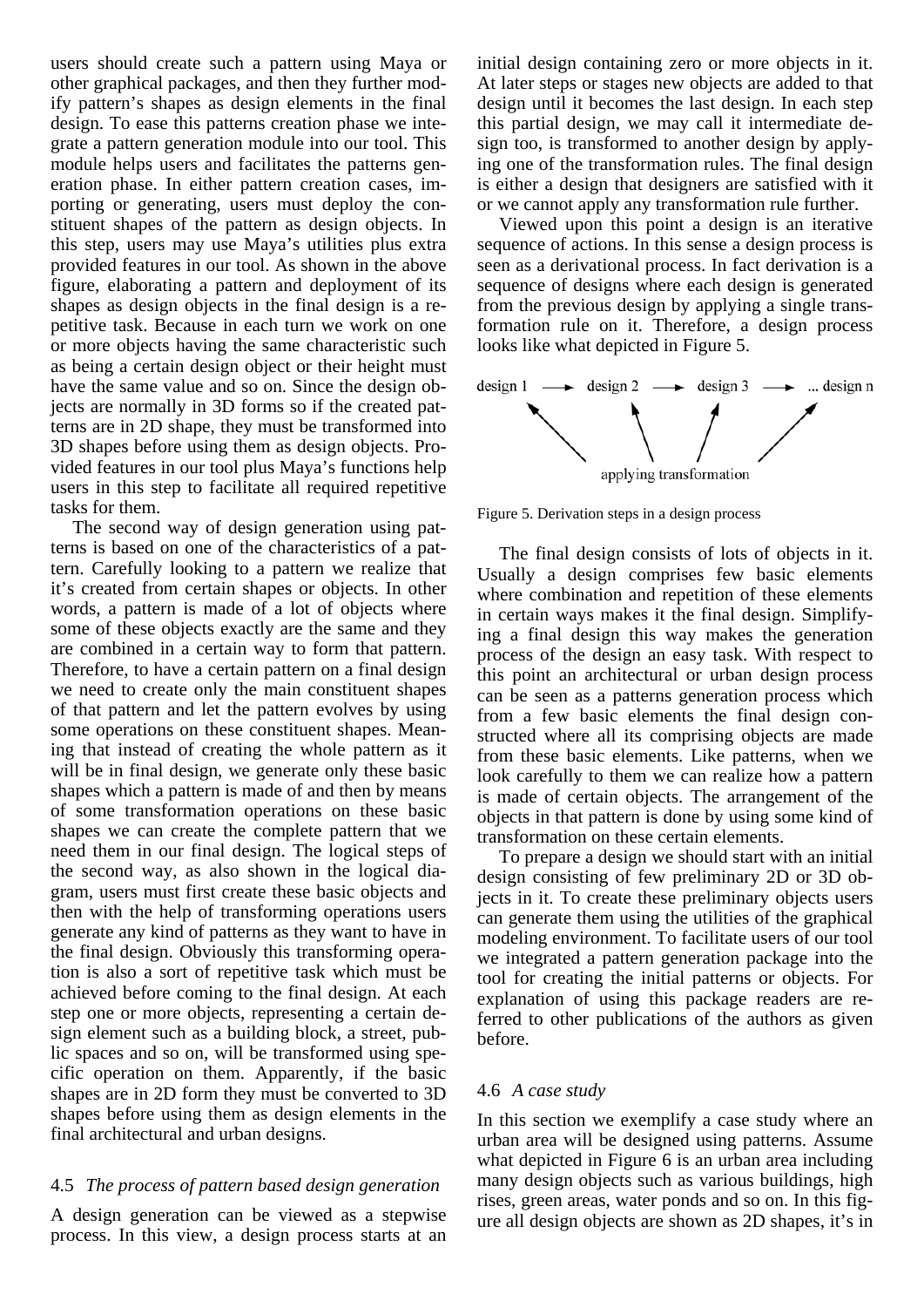users should create such a pattern using Maya or other graphical packages, and then they further modify pattern's shapes as design elements in the final design. To ease this patterns creation phase we integrate a pattern generation module into our tool. This module helps users and facilitates the patterns generation phase. In either pattern creation cases, importing or generating, users must deploy the constituent shapes of the pattern as design objects. In this step, users may use Maya's utilities plus extra provided features in our tool. As shown in the above figure, elaborating a pattern and deployment of its shapes as design objects in the final design is a repetitive task. Because in each turn we work on one or more objects having the same characteristic such as being a certain design object or their height must have the same value and so on. Since the design objects are normally in 3D forms so if the created patterns are in 2D shape, they must be transformed into 3D shapes before using them as design objects. Provided features in our tool plus Maya's functions help users in this step to facilitate all required repetitive tasks for them.

The second way of design generation using patterns is based on one of the characteristics of a pattern. Carefully looking to a pattern we realize that it's created from certain shapes or objects. In other words, a pattern is made of a lot of objects where some of these objects exactly are the same and they are combined in a certain way to form that pattern. Therefore, to have a certain pattern on a final design we need to create only the main constituent shapes of that pattern and let the pattern evolves by using some operations on these constituent shapes. Meaning that instead of creating the whole pattern as it will be in final design, we generate only these basic shapes which a pattern is made of and then by means of some transformation operations on these basic shapes we can create the complete pattern that we need them in our final design. The logical steps of the second way, as also shown in the logical diagram, users must first create these basic objects and then with the help of transforming operations users generate any kind of patterns as they want to have in the final design. Obviously this transforming operation is also a sort of repetitive task which must be achieved before coming to the final design. At each step one or more objects, representing a certain design element such as a building block, a street, public spaces and so on, will be transformed using specific operation on them. Apparently, if the basic shapes are in 2D form they must be converted to 3D shapes before using them as design elements in the final architectural and urban designs.

# 4.5 *The process of pattern based design generation*

A design generation can be viewed as a stepwise process. In this view, a design process starts at an initial design containing zero or more objects in it. At later steps or stages new objects are added to that design until it becomes the last design. In each step this partial design, we may call it intermediate design too, is transformed to another design by applying one of the transformation rules. The final design is either a design that designers are satisfied with it or we cannot apply any transformation rule further.

Viewed upon this point a design is an iterative sequence of actions. In this sense a design process is seen as a derivational process. In fact derivation is a sequence of designs where each design is generated from the previous design by applying a single transformation rule on it. Therefore, a design process looks like what depicted in Figure 5.



Figure 5. Derivation steps in a design process

The final design consists of lots of objects in it. Usually a design comprises few basic elements where combination and repetition of these elements in certain ways makes it the final design. Simplifying a final design this way makes the generation process of the design an easy task. With respect to this point an architectural or urban design process can be seen as a patterns generation process which from a few basic elements the final design constructed where all its comprising objects are made from these basic elements. Like patterns, when we look carefully to them we can realize how a pattern is made of certain objects. The arrangement of the objects in that pattern is done by using some kind of transformation on these certain elements.

To prepare a design we should start with an initial design consisting of few preliminary 2D or 3D objects in it. To create these preliminary objects users can generate them using the utilities of the graphical modeling environment. To facilitate users of our tool we integrated a pattern generation package into the tool for creating the initial patterns or objects. For explanation of using this package readers are referred to other publications of the authors as given before.

### 4.6 *A case study*

In this section we exemplify a case study where an urban area will be designed using patterns. Assume what depicted in Figure 6 is an urban area including many design objects such as various buildings, high rises, green areas, water ponds and so on. In this figure all design objects are shown as 2D shapes, it's in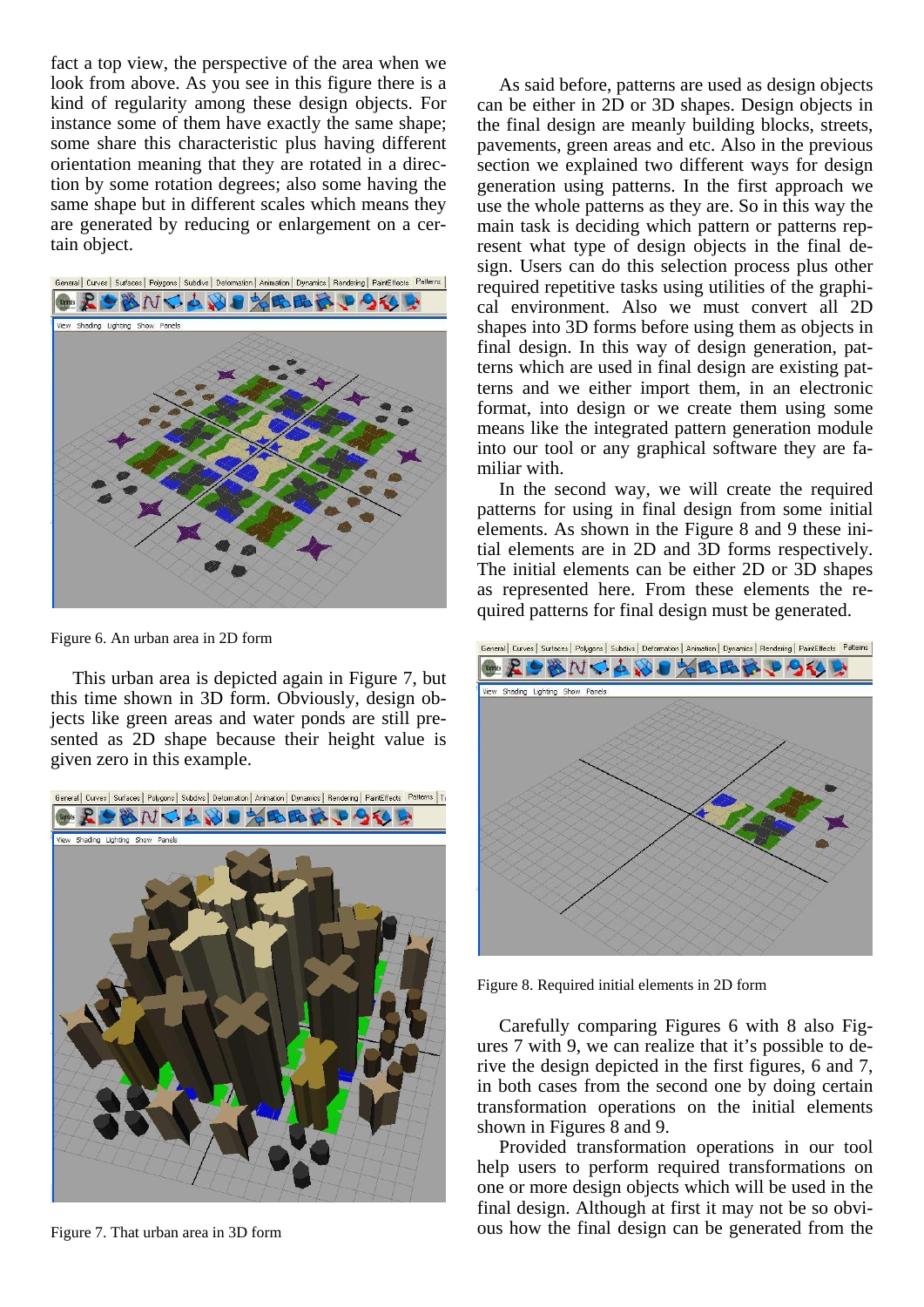fact a top view, the perspective of the area when we look from above. As you see in this figure there is a kind of regularity among these design objects. For instance some of them have exactly the same shape; some share this characteristic plus having different orientation meaning that they are rotated in a direction by some rotation degrees; also some having the same shape but in different scales which means they are generated by reducing or enlargement on a certain object.



Figure 6. An urban area in 2D form

This urban area is depicted again in Figure 7, but this time shown in 3D form. Obviously, design objects like green areas and water ponds are still presented as 2D shape because their height value is given zero in this example.



Figure 7. That urban area in 3D form

As said before, patterns are used as design objects can be either in 2D or 3D shapes. Design objects in the final design are meanly building blocks, streets, pavements, green areas and etc. Also in the previous section we explained two different ways for design generation using patterns. In the first approach we use the whole patterns as they are. So in this way the main task is deciding which pattern or patterns represent what type of design objects in the final design. Users can do this selection process plus other required repetitive tasks using utilities of the graphical environment. Also we must convert all 2D shapes into 3D forms before using them as objects in final design. In this way of design generation, patterns which are used in final design are existing patterns and we either import them, in an electronic format, into design or we create them using some means like the integrated pattern generation module into our tool or any graphical software they are familiar with.

In the second way, we will create the required patterns for using in final design from some initial elements. As shown in the Figure 8 and 9 these initial elements are in 2D and 3D forms respectively. The initial elements can be either 2D or 3D shapes as represented here. From these elements the required patterns for final design must be generated.



Figure 8. Required initial elements in 2D form

Carefully comparing Figures 6 with 8 also Figures 7 with 9, we can realize that it's possible to derive the design depicted in the first figures, 6 and 7, in both cases from the second one by doing certain transformation operations on the initial elements shown in Figures 8 and 9.

Provided transformation operations in our tool help users to perform required transformations on one or more design objects which will be used in the final design. Although at first it may not be so obvious how the final design can be generated from the